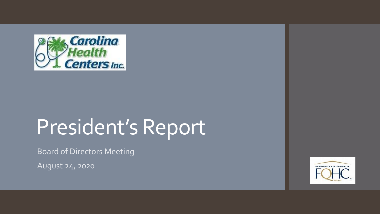

# President's Report

Board of Directors Meeting

August 24, 2020

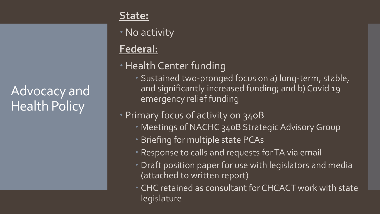Advocacy and Health Policy

#### **State:**

No activity

# **Federal:**

- **Health Center funding** 
	- Sustained two-pronged focus on a) long-term, stable, and significantly increased funding; and b) Covid 19 emergency relief funding

#### Primary focus of activity on 340B

- Meetings of NACHC 340B Strategic Advisory Group
- Briefing for multiple state PCAs
- Response to calls and requests for TA via email
- Draft position paper for use with legislators and media (attached to written report)
- CHC retained as consultant for CHCACT work with state legislature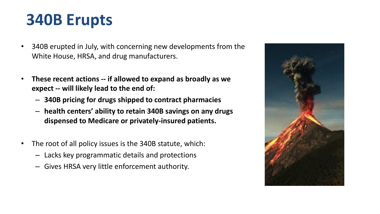# **340B Erupts**

- 340B erupted in July, with concerning new developments from the White House, HRSA, and drug manufacturers.
- **These recent actions -- if allowed to expand as broadly as we expect -- will likely lead to the end of:**
	- **340B pricing for drugs shipped to contract pharmacies**
	- **health centers' ability to retain 340B savings on any drugs dispensed to Medicare or privately-insured patients.**
- The root of all policy issues is the 340B statute, which:
	- Lacks key programmatic details and protections
	- Gives HRSA very little enforcement authority.

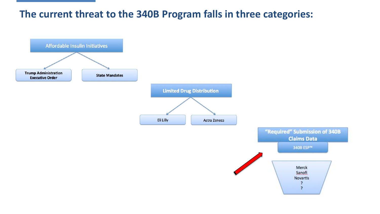#### **The current threat to the 340B Program falls in three categories:**

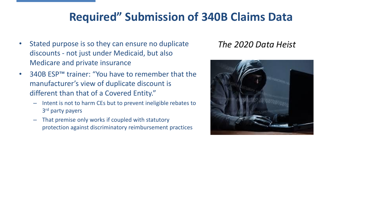## **Required" Submission of 340B Claims Data**

- Stated purpose is so they can ensure no duplicate discounts - not just under Medicaid, but also Medicare and private insurance
- 340B ESP™ trainer: "You have to remember that the manufacturer's view of duplicate discount is different than that of a Covered Entity."
	- Intent is not to harm CEs but to prevent ineligible rebates to 3<sup>rd</sup> party payers
	- That premise only works if coupled with statutory protection against discriminatory reimbursement practices

#### *The 2020 Data Heist*

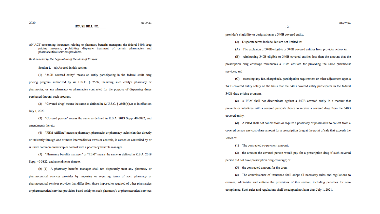20rs2594

HOUSE BILL NO.

AN ACT concerning insurance; relating to pharmacy benefits managers; the federal 340B drug pricing program; prohibiting disparate treatment of certain pharmacies and pharmaceutical services providers.

Be it enacted by the Legislature of the State of Kansas:

Section 1. (a) As used in this section:

(1) "340B covered entity" means an entity participating in the federal 340B drug

pricing program authorized by 42 U.S.C. § 256b, including such entity's pharmacy or pharmacies, or any pharmacy or pharmacies contracted for the purpose of dispensing drugs purchased through such program.

(2) "Covered drug" means the same as defined in 42 U.S.C. § 256b(b)(2) as in effect on

July 1, 2020.

(3) "Covered person" means the same as defined in K.S.A. 2019 Supp. 40-3822, and amendments thereto.

(4) "PBM Affiliate" means a pharmacy, pharmacist or pharmacy technician that directly or indirectly through one or more intermediaries owns or controls, is owned or controlled by or is under common ownership or control with a pharmacy benefits manager.

(5) "Pharmacy benefits manager" or "PBM" means the same as defined in K.S.A. 2019 Supp. 40-3822, and amendments thereto.

(b) (1) A pharmacy benefits manager shall not disparately treat any pharmacy or pharmaceutical services provider by imposing or requiring terms of such pharmacy or pharmaceutical services provider that differ from those imposed or required of other pharmacies or pharmaceutical services providers based solely on such pharmacy's or pharmaceutical services provider's eligibility or designation as a 340B covered entity.

- (2) Disparate terms include, but are not limited to:
- (A) The exclusion of 340B-eligible or 340B covered entities from provider networks;

 $-2-$ 

(B) reimbursing 340B-eligible or 340B covered entities less than the amount that the prescription drug coverage reimburses a PBM affiliate for providing the same pharmacist services: and

(C) assessing any fee, chargeback, participation requirement or other adjustment upon a 340B covered entity solely on the basis that the 340B covered entity participates in the federal 340B drug pricing program.

(c) A PBM shall not discriminate against a 340B covered entity in a manner that prevents or interferes with a covered person's choice to receive a covered drug from the 340B covered entity.

(d) A PBM shall not collect from or require a pharmacy or pharmacist to collect from a covered person any cost-share amount for a prescription drug at the point of sale that exceeds the lesser of:

(1) The contracted co-payment amount;

(2) the amount the covered person would pay for a prescription drug if such covered person did not have prescription drug coverage; or

(3) the contracted amount for the drug.

(e) The commissioner of insurance shall adopt all necessary rules and regulations to oversee, administer and enforce the provisions of this section, including penalties for noncompliance. Such rules and regulations shall be adopted not later than July 1, 2021.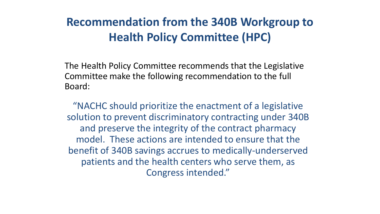# **Recommendation from the 340B Workgroup to Health Policy Committee (HPC)**

The Health Policy Committee recommends that the Legislative Committee make the following recommendation to the full Board:

"NACHC should prioritize the enactment of a legislative solution to prevent discriminatory contracting under 340B and preserve the integrity of the contract pharmacy model. These actions are intended to ensure that the benefit of 340B savings accrues to medically-underserved patients and the health centers who serve them, as Congress intended."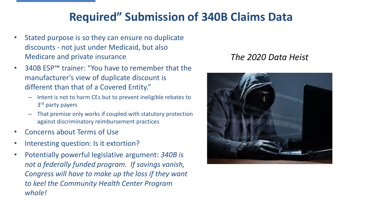## **Required" Submission of 340B Claims Data**

- Stated purpose is so they can ensure no duplicate discounts - not just under Medicaid, but also Medicare and private insurance
- 340B ESP™ trainer: "You have to remember that the manufacturer's view of duplicate discount is different than that of a Covered Entity."
	- Intent is not to harm CEs but to prevent ineligible rebates to 3<sup>rd</sup> party payers
	- That premise only works if coupled with statutory protection against discriminatory reimbursement practices
- Concerns about Terms of Use
- Interesting question: Is it extortion?
- Potentially powerful legislative argument: *340B is not a federally funded program. If savings vanish, Congress will have to make up the loss if they want to keel the Community Health Center Program whole!*

#### *The 2020 Data Heist*

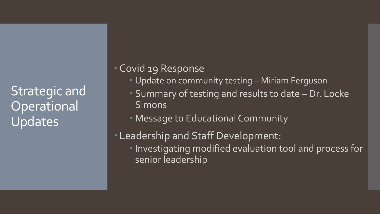Strategic and **Operational** Updates

#### Covid 19 Response

- Update on community testing Miriam Ferguson
- Summary of testing and results to date Dr. Locke **Simons**
- Message to Educational Community
- Leadership and Staff Development: Investigating modified evaluation tool and process for senior leadership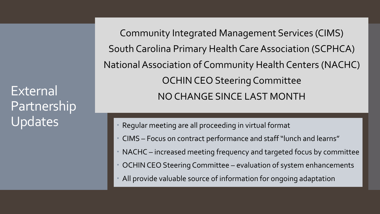External Partnership Updates

Community Integrated Management Services (CIMS) South Carolina Primary Health Care Association (SCPHCA) National Association of Community Health Centers (NACHC) OCHIN CEO Steering Committee NO CHANGE SINCE LAST MONTH

- Regular meeting are all proceeding in virtual format
- CIMS Focus on contract performance and staff "lunch and learns"
- NACHC increased meeting frequency and targeted focus by committee
- OCHIN CEO Steering Committee evaluation of system enhancements
- All provide valuable source of information for ongoing adaptation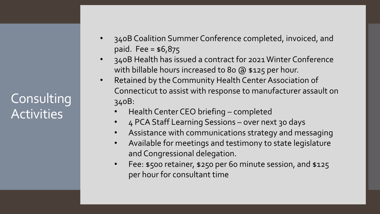**Consulting** Activities

- 340B Coalition Summer Conference completed, invoiced, and paid. Fee = \$6,875
- 340B Health has issued a contract for 2021 Winter Conference with billable hours increased to 80 @ \$125 per hour.
- Retained by the Community Health Center Association of Connecticut to assist with response to manufacturer assault on 340B:
	- Health Center CEO briefing completed
	- 4 PCA Staff Learning Sessions over next 30 days
	- Assistance with communications strategy and messaging
	- Available for meetings and testimony to state legislature and Congressional delegation.
	- Fee: \$500 retainer, \$250 per 60 minute session, and \$125 per hour for consultant time